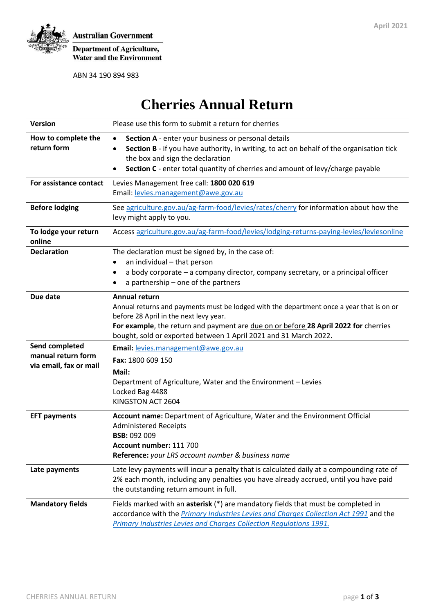

Department of Agriculture,<br>Water and the Environment

ABN 34 190 894 983

# **Cherries Annual Return**

| <b>Version</b>                                                 | Please use this form to submit a return for cherries                                                                                                                                                                                                                                                           |  |  |  |  |
|----------------------------------------------------------------|----------------------------------------------------------------------------------------------------------------------------------------------------------------------------------------------------------------------------------------------------------------------------------------------------------------|--|--|--|--|
| How to complete the<br>return form                             | Section A - enter your business or personal details<br>$\bullet$<br>Section B - if you have authority, in writing, to act on behalf of the organisation tick<br>the box and sign the declaration<br>Section C - enter total quantity of cherries and amount of levy/charge payable<br>$\bullet$                |  |  |  |  |
| For assistance contact                                         | Levies Management free call: 1800 020 619<br>Email: levies.management@awe.gov.au                                                                                                                                                                                                                               |  |  |  |  |
| <b>Before lodging</b>                                          | See agriculture.gov.au/ag-farm-food/levies/rates/cherry for information about how the<br>levy might apply to you.                                                                                                                                                                                              |  |  |  |  |
| To lodge your return<br>online                                 | Access agriculture.gov.au/ag-farm-food/levies/lodging-returns-paying-levies/leviesonline                                                                                                                                                                                                                       |  |  |  |  |
| <b>Declaration</b>                                             | The declaration must be signed by, in the case of:<br>an individual - that person<br>٠<br>a body corporate - a company director, company secretary, or a principal officer<br>a partnership - one of the partners                                                                                              |  |  |  |  |
| Due date                                                       | Annual return<br>Annual returns and payments must be lodged with the department once a year that is on or<br>before 28 April in the next levy year.<br>For example, the return and payment are due on or before 28 April 2022 for cherries<br>bought, sold or exported between 1 April 2021 and 31 March 2022. |  |  |  |  |
| Send completed<br>manual return form<br>via email, fax or mail | Email: levies.management@awe.gov.au<br>Fax: 1800 609 150<br>Mail:<br>Department of Agriculture, Water and the Environment - Levies<br>Locked Bag 4488<br>KINGSTON ACT 2604                                                                                                                                     |  |  |  |  |
| <b>EFT payments</b>                                            | Account name: Department of Agriculture, Water and the Environment Official<br><b>Administered Receipts</b><br><b>BSB: 092 009</b><br>Account number: 111 700<br>Reference: your LRS account number & business name                                                                                            |  |  |  |  |
| Late payments                                                  | Late levy payments will incur a penalty that is calculated daily at a compounding rate of<br>2% each month, including any penalties you have already accrued, until you have paid<br>the outstanding return amount in full.                                                                                    |  |  |  |  |
| <b>Mandatory fields</b>                                        | Fields marked with an asterisk (*) are mandatory fields that must be completed in<br>accordance with the Primary Industries Levies and Charges Collection Act 1991 and the<br>Primary Industries Levies and Charges Collection Regulations 1991.                                                               |  |  |  |  |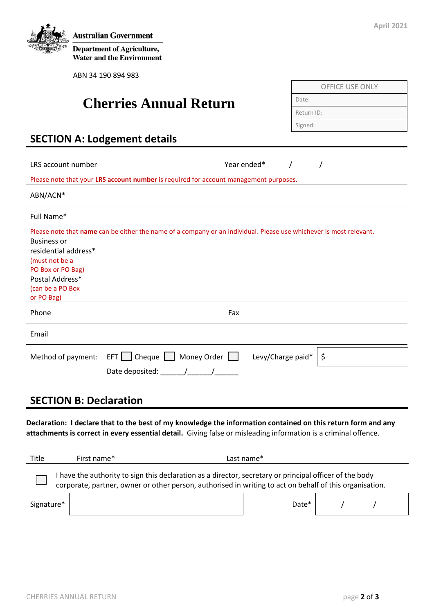

**Department of Agriculture, Water and the Environment** 

ABN 34 190 894 983

## **Cherries Annual Return**

| <b>OFFICE USE ONLY</b> |  |  |
|------------------------|--|--|
| Date:                  |  |  |
| Return ID:             |  |  |
| Signed:                |  |  |
|                        |  |  |

## **SECTION A: Lodgement details**

| LRS account number                                                                    | Year ended*                                                                                                        |                   |  |    |  |  |  |
|---------------------------------------------------------------------------------------|--------------------------------------------------------------------------------------------------------------------|-------------------|--|----|--|--|--|
| Please note that your LRS account number is required for account management purposes. |                                                                                                                    |                   |  |    |  |  |  |
| ABN/ACN*                                                                              |                                                                                                                    |                   |  |    |  |  |  |
| Full Name*                                                                            |                                                                                                                    |                   |  |    |  |  |  |
|                                                                                       | Please note that name can be either the name of a company or an individual. Please use whichever is most relevant. |                   |  |    |  |  |  |
| <b>Business or</b>                                                                    |                                                                                                                    |                   |  |    |  |  |  |
| residential address*                                                                  |                                                                                                                    |                   |  |    |  |  |  |
| (must not be a                                                                        |                                                                                                                    |                   |  |    |  |  |  |
| PO Box or PO Bag)                                                                     |                                                                                                                    |                   |  |    |  |  |  |
| Postal Address*                                                                       |                                                                                                                    |                   |  |    |  |  |  |
| (can be a PO Box                                                                      |                                                                                                                    |                   |  |    |  |  |  |
| or PO Bag)                                                                            |                                                                                                                    |                   |  |    |  |  |  |
| Phone                                                                                 |                                                                                                                    | Fax               |  |    |  |  |  |
| Email                                                                                 |                                                                                                                    |                   |  |    |  |  |  |
| Method of payment:                                                                    | $EFT$   Cheque    <br>Money Order                                                                                  | Levy/Charge paid* |  | \$ |  |  |  |
|                                                                                       | Date deposited:                                                                                                    |                   |  |    |  |  |  |
|                                                                                       |                                                                                                                    |                   |  |    |  |  |  |

#### **SECTION B: Declaration**

**Declaration: I declare that to the best of my knowledge the information contained on this return form and any attachments is correct in every essential detail.** Giving false or misleading information is a criminal offence.

| Title      | First name*                                                                                                                                                                                                      | Last name*        |  |  |  |  |
|------------|------------------------------------------------------------------------------------------------------------------------------------------------------------------------------------------------------------------|-------------------|--|--|--|--|
|            | have the authority to sign this declaration as a director, secretary or principal officer of the body<br>corporate, partner, owner or other person, authorised in writing to act on behalf of this organisation. |                   |  |  |  |  |
| Signature* |                                                                                                                                                                                                                  | Date <sup>*</sup> |  |  |  |  |